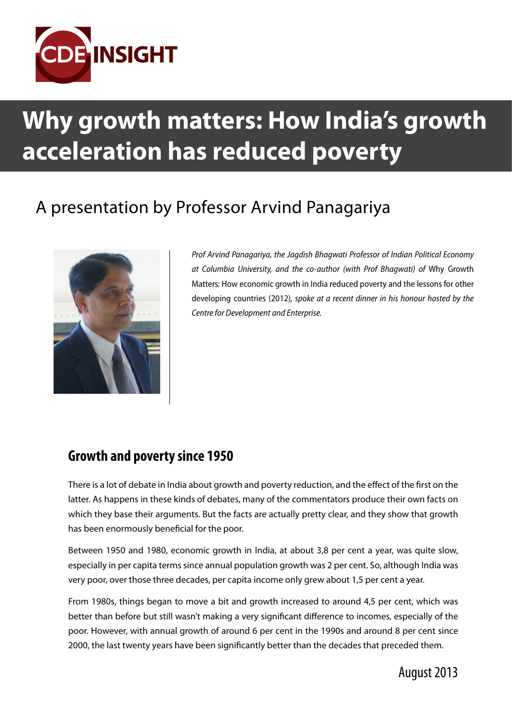

# **Why growth matters: How India's growth acceleration has reduced poverty**

## A presentation by Professor Arvind Panagariya



*Prof Arvind Panagariya, the Jagdish Bhagwati Professor of Indian Political Economy at Columbia University, and the co-author (with Prof Bhagwati) of* Why Growth Matters: How economic growth in India reduced poverty and the lessons for other developing countries (2012)*, spoke at a recent dinner in his honour hosted by the Centre for Development and Enterprise.*

### **Growth and poverty since 1950**

There is a lot of debate in India about growth and poverty reduction, and the effect of the first on the latter. As happens in these kinds of debates, many of the commentators produce their own facts on which they base their arguments. But the facts are actually pretty clear, and they show that growth has been enormously beneficial for the poor.

Between 1950 and 1980, economic growth in India, at about 3,8 per cent a year, was quite slow, especially in per capita terms since annual population growth was 2 per cent. So, although India was very poor, over those three decades, per capita income only grew about 1,5 per cent a year.

From 1980s, things began to move a bit and growth increased to around 4,5 per cent, which was better than before but still wasn't making a very significant difference to incomes, especially of the poor. However, with annual growth of around 6 per cent in the 1990s and around 8 per cent since 2000, the last twenty years have been significantly better than the decades that preceded them.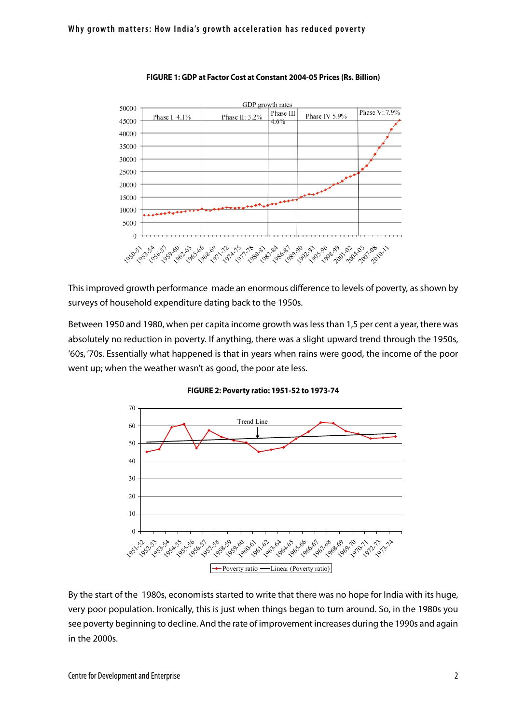

#### **FIGURE 1: GDP at Factor Cost at Constant 2004-05 Prices (Rs. Billion)**

This improved growth performance made an enormous difference to levels of poverty, as shown by surveys of household expenditure dating back to the 1950s.

Between 1950 and 1980, when per capita income growth was less than 1,5 per cent a year, there was absolutely no reduction in poverty. If anything, there was a slight upward trend through the 1950s, '60s, '70s. Essentially what happened is that in years when rains were good, the income of the poor went up; when the weather wasn't as good, the poor ate less.



#### **FIGURE 2: Poverty ratio: 1951-52 to 1973-74** Poverty ratio: 1951-52 to 1973-74

By the start of the 1980s, economists started to write that there was no hope for India with its huge, very poor population. Ironically, this is just when things began to turn around. So, in the 1980s you see poverty beginning to decline. And the rate of improvement increases during the 1990s and again in the 2000s.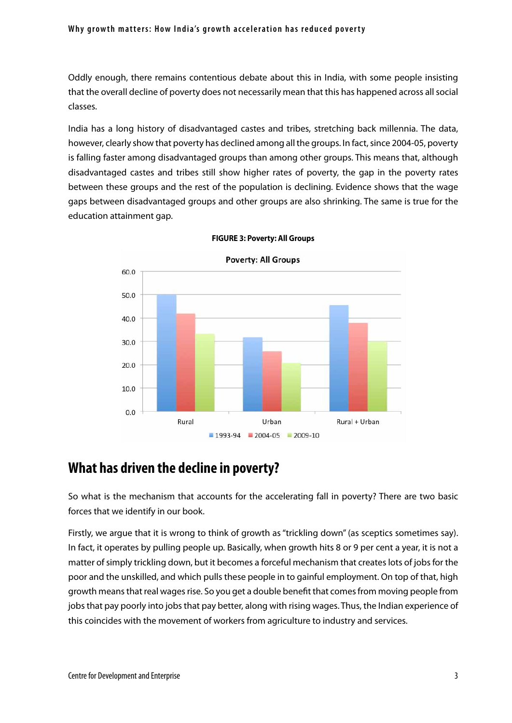### Why growth matters: How India's growth acceleration has reduced poverty

Oddly enough, there remains contentious debate about this in India, with some people insisting that the overall decline of poverty does not necessarily mean that this has happened across all social classes.

India has a long history of disadvantaged castes and tribes, stretching back millennia. The data, however, clearly show that poverty has declined among all the groups. In fact, since 2004-05, poverty is falling faster among disadvantaged groups than among other groups. This means that, although disadvantaged castes and tribes still show higher rates of poverty, the gap in the poverty rates between these groups and the rest of the population is declining. Evidence shows that the wage gaps between disadvantaged groups and other groups are also shrinking. The same is true for the education attainment gap.



**FIGURE 3: Poverty: All Groups**

### **What has driven the decline in poverty?**

So what is the mechanism that accounts for the accelerating fall in poverty? There are two basic forces that we identify in our book.

Firstly, we argue that it is wrong to think of growth as "trickling down" (as sceptics sometimes say). In fact, it operates by pulling people up. Basically, when growth hits 8 or 9 per cent a year, it is not a matter of simply trickling down, but it becomes a forceful mechanism that creates lots of jobs for the poor and the unskilled, and which pulls these people in to gainful employment. On top of that, high growth means that real wages rise. So you get a double benefit that comes from moving people from jobs that pay poorly into jobs that pay better, along with rising wages. Thus, the Indian experience of this coincides with the movement of workers from agriculture to industry and services.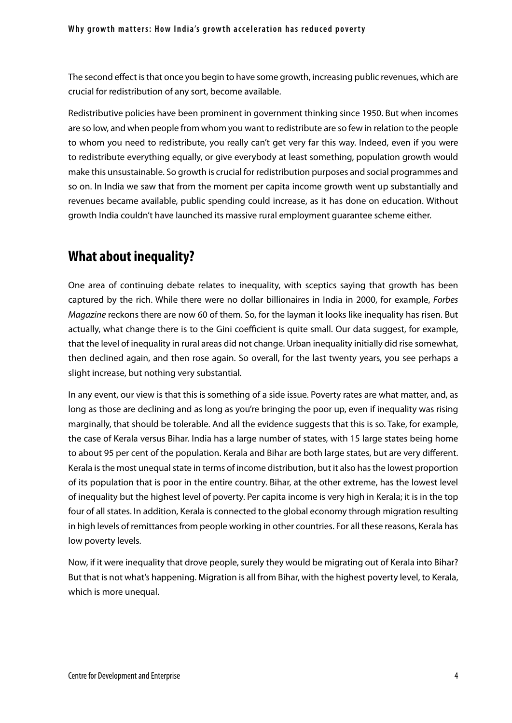The second effect is that once you begin to have some growth, increasing public revenues, which are crucial for redistribution of any sort, become available.

Redistributive policies have been prominent in government thinking since 1950. But when incomes are so low, and when people from whom you want to redistribute are so few in relation to the people to whom you need to redistribute, you really can't get very far this way. Indeed, even if you were to redistribute everything equally, or give everybody at least something, population growth would make this unsustainable. So growth is crucial for redistribution purposes and social programmes and so on. In India we saw that from the moment per capita income growth went up substantially and revenues became available, public spending could increase, as it has done on education. Without growth India couldn't have launched its massive rural employment guarantee scheme either.

### **What about inequality?**

One area of continuing debate relates to inequality, with sceptics saying that growth has been captured by the rich. While there were no dollar billionaires in India in 2000, for example, *Forbes Magazine* reckons there are now 60 of them. So, for the layman it looks like inequality has risen. But actually, what change there is to the Gini coefficient is quite small. Our data suggest, for example, that the level of inequality in rural areas did not change. Urban inequality initially did rise somewhat, then declined again, and then rose again. So overall, for the last twenty years, you see perhaps a slight increase, but nothing very substantial.

In any event, our view is that this is something of a side issue. Poverty rates are what matter, and, as long as those are declining and as long as you're bringing the poor up, even if inequality was rising marginally, that should be tolerable. And all the evidence suggests that this is so. Take, for example, the case of Kerala versus Bihar. India has a large number of states, with 15 large states being home to about 95 per cent of the population. Kerala and Bihar are both large states, but are very different. Kerala is the most unequal state in terms of income distribution, but it also has the lowest proportion of its population that is poor in the entire country. Bihar, at the other extreme, has the lowest level of inequality but the highest level of poverty. Per capita income is very high in Kerala; it is in the top four of all states. In addition, Kerala is connected to the global economy through migration resulting in high levels of remittances from people working in other countries. For all these reasons, Kerala has low poverty levels.

Now, if it were inequality that drove people, surely they would be migrating out of Kerala into Bihar? But that is not what's happening. Migration is all from Bihar, with the highest poverty level, to Kerala, which is more unequal.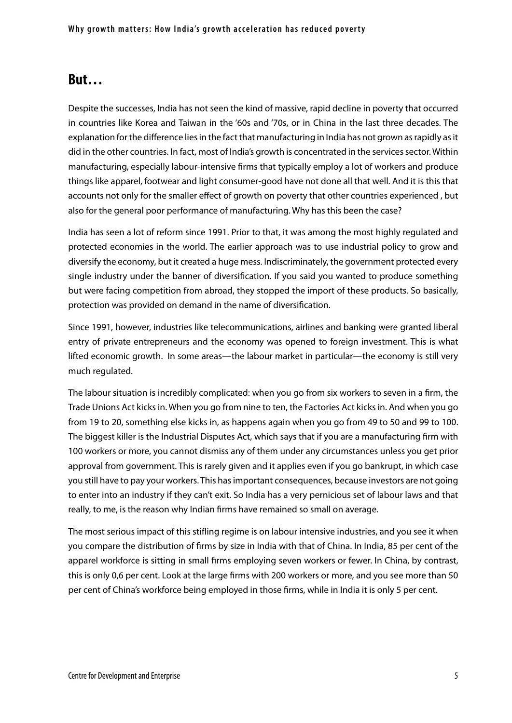### **But…**

Despite the successes, India has not seen the kind of massive, rapid decline in poverty that occurred in countries like Korea and Taiwan in the '60s and '70s, or in China in the last three decades. The explanation for the difference lies in the fact that manufacturing in India has not grown as rapidly as it did in the other countries. In fact, most of India's growth is concentrated in the services sector. Within manufacturing, especially labour-intensive firms that typically employ a lot of workers and produce things like apparel, footwear and light consumer-good have not done all that well. And it is this that accounts not only for the smaller effect of growth on poverty that other countries experienced , but also for the general poor performance of manufacturing. Why has this been the case?

India has seen a lot of reform since 1991. Prior to that, it was among the most highly regulated and protected economies in the world. The earlier approach was to use industrial policy to grow and diversify the economy, but it created a huge mess. Indiscriminately, the government protected every single industry under the banner of diversification. If you said you wanted to produce something but were facing competition from abroad, they stopped the import of these products. So basically, protection was provided on demand in the name of diversification.

Since 1991, however, industries like telecommunications, airlines and banking were granted liberal entry of private entrepreneurs and the economy was opened to foreign investment. This is what lifted economic growth. In some areas—the labour market in particular—the economy is still very much regulated.

The labour situation is incredibly complicated: when you go from six workers to seven in a firm, the Trade Unions Act kicks in. When you go from nine to ten, the Factories Act kicks in. And when you go from 19 to 20, something else kicks in, as happens again when you go from 49 to 50 and 99 to 100. The biggest killer is the Industrial Disputes Act, which says that if you are a manufacturing firm with 100 workers or more, you cannot dismiss any of them under any circumstances unless you get prior approval from government. This is rarely given and it applies even if you go bankrupt, in which case you still have to pay your workers. This has important consequences, because investors are not going to enter into an industry if they can't exit. So India has a very pernicious set of labour laws and that really, to me, is the reason why Indian firms have remained so small on average.

The most serious impact of this stifling regime is on labour intensive industries, and you see it when you compare the distribution of firms by size in India with that of China. In India, 85 per cent of the apparel workforce is sitting in small firms employing seven workers or fewer. In China, by contrast, this is only 0,6 per cent. Look at the large firms with 200 workers or more, and you see more than 50 per cent of China's workforce being employed in those firms, while in India it is only 5 per cent.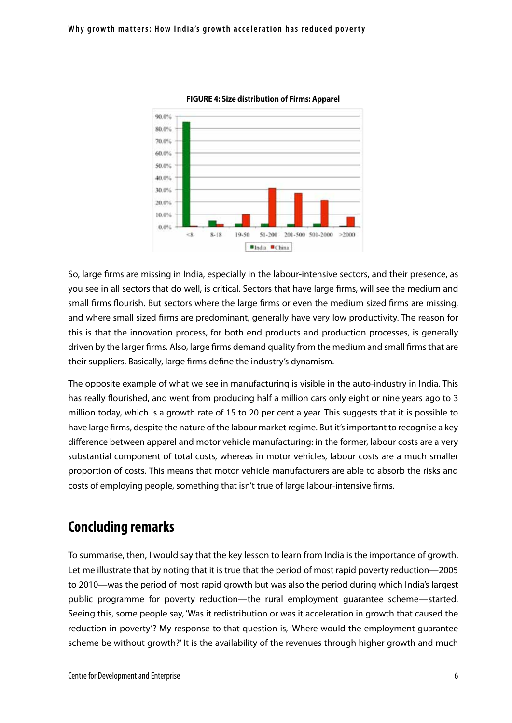



So, large firms are missing in India, especially in the labour-intensive sectors, and their presence, as you see in all sectors that do well, is critical. Sectors that have large firms, will see the medium and small firms flourish. But sectors where the large firms or even the medium sized firms are missing, and where small sized firms are predominant, generally have very low productivity. The reason for this is that the innovation process, for both end products and production processes, is generally driven by the larger firms. Also, large firms demand quality from the medium and small firms that are their suppliers. Basically, large firms define the industry's dynamism.

The opposite example of what we see in manufacturing is visible in the auto-industry in India. This has really flourished, and went from producing half a million cars only eight or nine years ago to 3 million today, which is a growth rate of 15 to 20 per cent a year. This suggests that it is possible to have large firms, despite the nature of the labour market regime. But it's important to recognise a key difference between apparel and motor vehicle manufacturing: in the former, labour costs are a very substantial component of total costs, whereas in motor vehicles, labour costs are a much smaller proportion of costs. This means that motor vehicle manufacturers are able to absorb the risks and costs of employing people, something that isn't true of large labour-intensive firms.

### **Concluding remarks**

To summarise, then, I would say that the key lesson to learn from India is the importance of growth. Let me illustrate that by noting that it is true that the period of most rapid poverty reduction—2005 to 2010—was the period of most rapid growth but was also the period during which India's largest public programme for poverty reduction—the rural employment guarantee scheme—started. Seeing this, some people say, 'Was it redistribution or was it acceleration in growth that caused the reduction in poverty'? My response to that question is, 'Where would the employment guarantee scheme be without growth?' It is the availability of the revenues through higher growth and much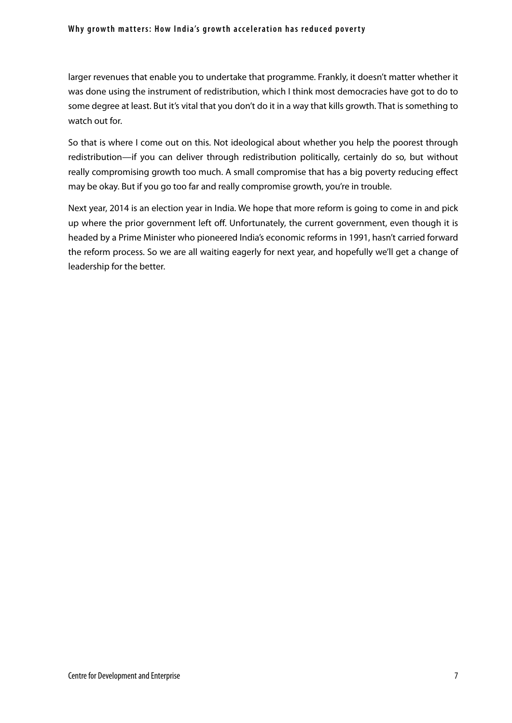### Why growth matters: How India's growth acceleration has reduced poverty

larger revenues that enable you to undertake that programme. Frankly, it doesn't matter whether it was done using the instrument of redistribution, which I think most democracies have got to do to some degree at least. But it's vital that you don't do it in a way that kills growth. That is something to watch out for.

So that is where I come out on this. Not ideological about whether you help the poorest through redistribution—if you can deliver through redistribution politically, certainly do so, but without really compromising growth too much. A small compromise that has a big poverty reducing effect may be okay. But if you go too far and really compromise growth, you're in trouble.

Next year, 2014 is an election year in India. We hope that more reform is going to come in and pick up where the prior government left off. Unfortunately, the current government, even though it is headed by a Prime Minister who pioneered India's economic reforms in 1991, hasn't carried forward the reform process. So we are all waiting eagerly for next year, and hopefully we'll get a change of leadership for the better.